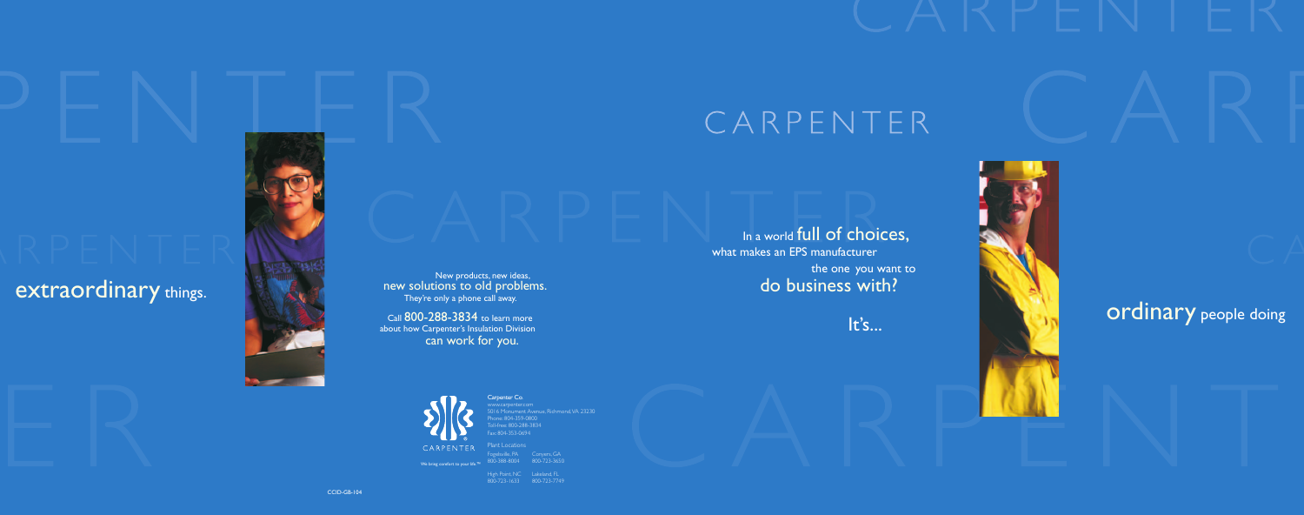Carpenter Co. www.carpenter.com 5016 Monument Avenue, Richmond,VA 23230  $p$ ne: 804-359-0800 ree: 800-288-3834 Fax: 804-353-0694

We bring comfort to your life.

-<br>Fogelsville, PA Conyers, GA<br>300-388-8004 800-723-3650 800-388-8004

Plant Locations

### New products, new ideas, new solutions to old problems. They're only a phone call away. Call 800-288-3834 to learn more

High Point, NC Lakeland, FL

800-723-1633 800-723-7749

# CARPENTER

## In a world full of choices, what makes an EPS manufacturer the one you want to do business with?

It's...





## extraordinary things.





about how Carpenter's Insulation Division can work for you.